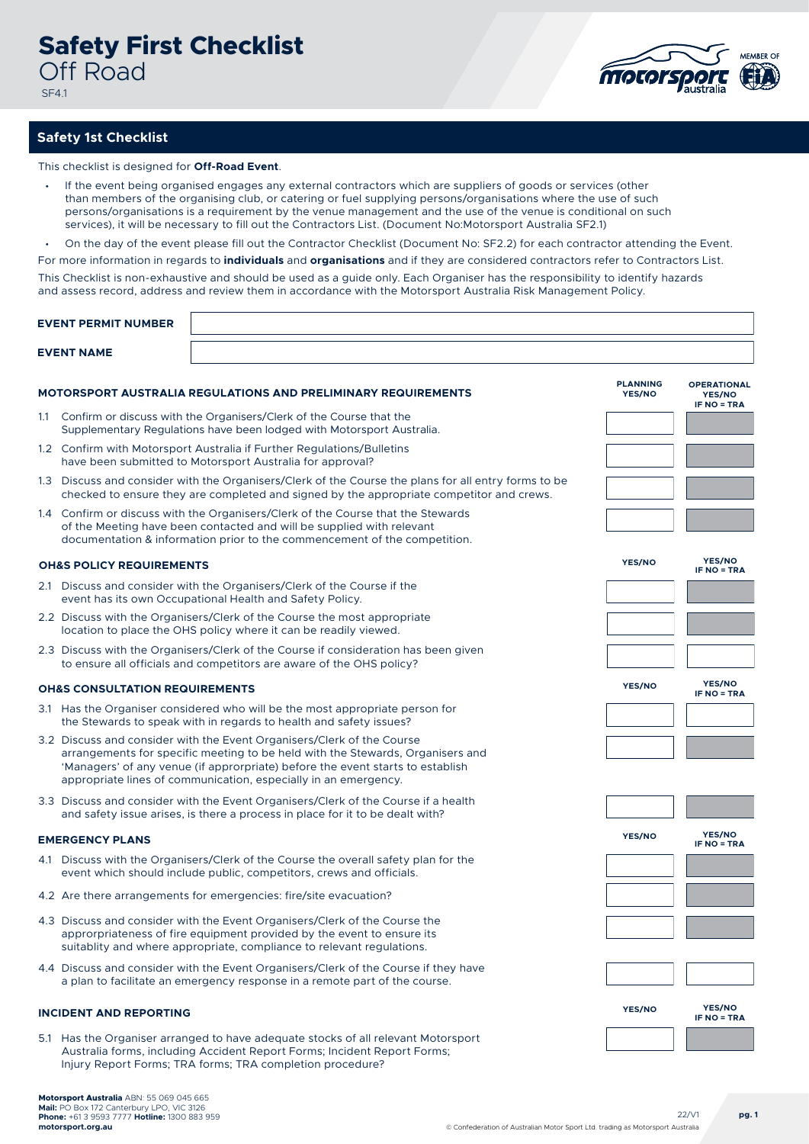

## **Safety 1st Checklist**

This checklist is designed for **Off-Road Event**.

- If the event being organised engages any external contractors which are suppliers of goods or services (other than members of the organising club, or catering or fuel supplying persons/organisations where the use of such persons/organisations is a requirement by the venue management and the use of the venue is conditional on such services), it will be necessary to fill out the Contractors List. (Document No:Motorsport Australia SF2.1)
- On the day of the event please fill out the Contractor Checklist (Document No: SF2.2) for each contractor attending the Event.

For more information in regards to **individuals** and **organisations** and if they are considered contractors refer to Contractors List.

This Checklist is non-exhaustive and should be used as a guide only. Each Organiser has the responsibility to identify hazards and assess record, address and review them in accordance with the Motorsport Australia Risk Management Policy.

| <b>EVENT PERMIT NUMBER</b>                                           |                                                                                                                                                                                                                                                                                                               |                           |                                                           |  |  |  |
|----------------------------------------------------------------------|---------------------------------------------------------------------------------------------------------------------------------------------------------------------------------------------------------------------------------------------------------------------------------------------------------------|---------------------------|-----------------------------------------------------------|--|--|--|
| <b>EVENT NAME</b>                                                    |                                                                                                                                                                                                                                                                                                               |                           |                                                           |  |  |  |
| <b>MOTORSPORT AUSTRALIA REGULATIONS AND PRELIMINARY REQUIREMENTS</b> |                                                                                                                                                                                                                                                                                                               | <b>PLANNING</b><br>YES/NO | <b>OPERATIONAL</b><br><b>YES/NO</b><br><b>IF NO = TRA</b> |  |  |  |
|                                                                      | 1.1 Confirm or discuss with the Organisers/Clerk of the Course that the<br>Supplementary Regulations have been lodged with Motorsport Australia.                                                                                                                                                              |                           |                                                           |  |  |  |
|                                                                      | 1.2 Confirm with Motorsport Australia if Further Regulations/Bulletins<br>have been submitted to Motorsport Australia for approval?                                                                                                                                                                           |                           |                                                           |  |  |  |
|                                                                      | 1.3 Discuss and consider with the Organisers/Clerk of the Course the plans for all entry forms to be<br>checked to ensure they are completed and signed by the appropriate competitor and crews.                                                                                                              |                           |                                                           |  |  |  |
|                                                                      | 1.4 Confirm or discuss with the Organisers/Clerk of the Course that the Stewards<br>of the Meeting have been contacted and will be supplied with relevant<br>documentation & information prior to the commencement of the competition.                                                                        |                           |                                                           |  |  |  |
|                                                                      | <b>OH&amp;S POLICY REQUIREMENTS</b>                                                                                                                                                                                                                                                                           | <b>YES/NO</b>             | YES/NO<br><b>IF NO = TRA</b>                              |  |  |  |
|                                                                      | 2.1 Discuss and consider with the Organisers/Clerk of the Course if the<br>event has its own Occupational Health and Safety Policy.                                                                                                                                                                           |                           |                                                           |  |  |  |
|                                                                      | 2.2 Discuss with the Organisers/Clerk of the Course the most appropriate<br>location to place the OHS policy where it can be readily viewed.                                                                                                                                                                  |                           |                                                           |  |  |  |
|                                                                      | 2.3 Discuss with the Organisers/Clerk of the Course if consideration has been given<br>to ensure all officials and competitors are aware of the OHS policy?                                                                                                                                                   |                           |                                                           |  |  |  |
| <b>OH&amp;S CONSULTATION REQUIREMENTS</b>                            |                                                                                                                                                                                                                                                                                                               |                           | YES/NO<br><b>IF NO = TRA</b>                              |  |  |  |
|                                                                      | 3.1 Has the Organiser considered who will be the most appropriate person for<br>the Stewards to speak with in regards to health and safety issues?                                                                                                                                                            |                           |                                                           |  |  |  |
|                                                                      | 3.2 Discuss and consider with the Event Organisers/Clerk of the Course<br>arrangements for specific meeting to be held with the Stewards, Organisers and<br>'Managers' of any venue (if approrpriate) before the event starts to establish<br>appropriate lines of communication, especially in an emergency. |                           |                                                           |  |  |  |
|                                                                      |                                                                                                                                                                                                                                                                                                               |                           |                                                           |  |  |  |
|                                                                      | 3.3 Discuss and consider with the Event Organisers/Clerk of the Course if a health<br>and safety issue arises, is there a process in place for it to be dealt with?                                                                                                                                           |                           |                                                           |  |  |  |
| <b>EMERGENCY PLANS</b>                                               |                                                                                                                                                                                                                                                                                                               | YES/NO                    | YES/NO<br><b>IF NO = TRA</b>                              |  |  |  |
|                                                                      | 4.1 Discuss with the Organisers/Clerk of the Course the overall safety plan for the<br>event which should include public, competitors, crews and officials.                                                                                                                                                   |                           |                                                           |  |  |  |
|                                                                      | 4.2 Are there arrangements for emergencies: fire/site evacuation?                                                                                                                                                                                                                                             |                           |                                                           |  |  |  |
|                                                                      | 4.3 Discuss and consider with the Event Organisers/Clerk of the Course the<br>approrpriateness of fire equipment provided by the event to ensure its<br>suitablity and where appropriate, compliance to relevant regulations.                                                                                 |                           |                                                           |  |  |  |

4.4 Discuss and consider with the Event Organisers/Clerk of the Course if they have a plan to facilitate an emergency response in a remote part of the course.

## **INCIDENT AND REPORTING YES/NO**

5.1 Has the Organiser arranged to have adequate stocks of all relevant Motorsport Australia forms, including Accident Report Forms; Incident Report Forms; Injury Report Forms; TRA forms; TRA completion procedure?

**YES/NO IF NO = TRA**

22/V1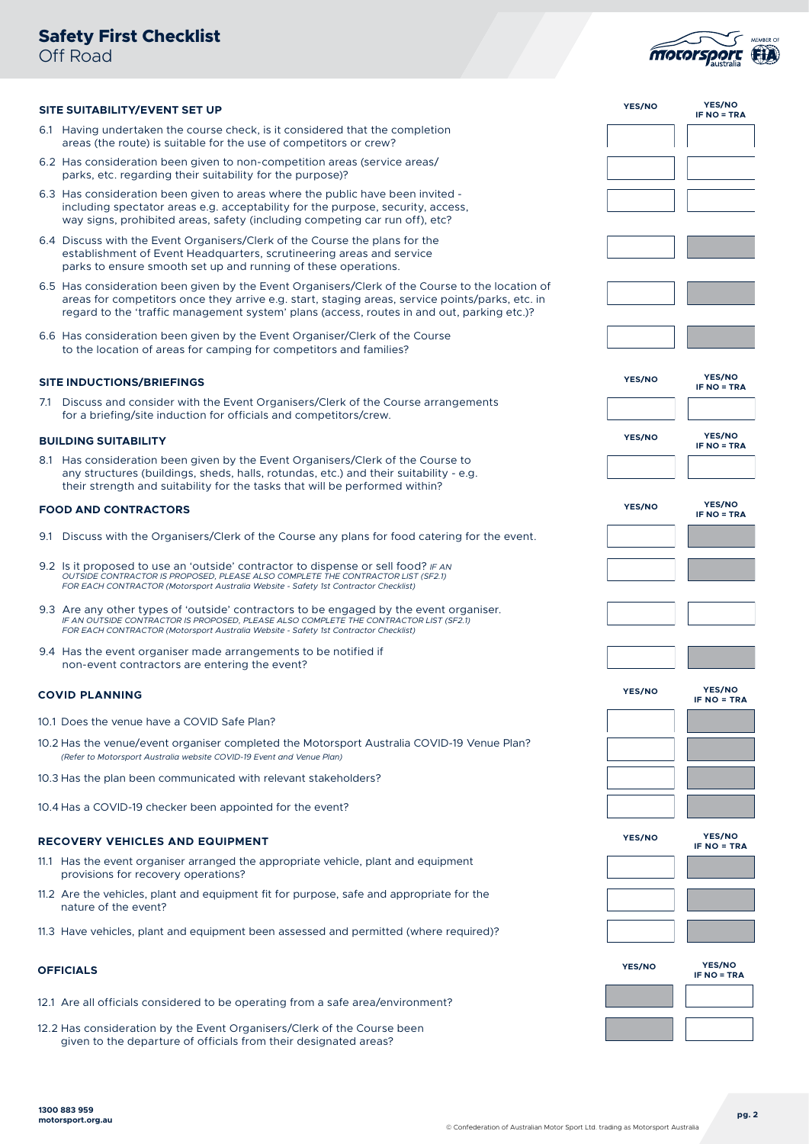

| SITE SUITABILITY/EVENT SET UP                                                                                                                                                                                                                                                                    |               | <b>YES/NO</b><br><b>IF NO = TRA</b> |
|--------------------------------------------------------------------------------------------------------------------------------------------------------------------------------------------------------------------------------------------------------------------------------------------------|---------------|-------------------------------------|
| 6.1 Having undertaken the course check, is it considered that the completion<br>areas (the route) is suitable for the use of competitors or crew?                                                                                                                                                |               |                                     |
| 6.2 Has consideration been given to non-competition areas (service areas/<br>parks, etc. regarding their suitability for the purpose)?                                                                                                                                                           |               |                                     |
| 6.3 Has consideration been given to areas where the public have been invited -<br>including spectator areas e.g. acceptability for the purpose, security, access,<br>way signs, prohibited areas, safety (including competing car run off), etc?                                                 |               |                                     |
| 6.4 Discuss with the Event Organisers/Clerk of the Course the plans for the<br>establishment of Event Headquarters, scrutineering areas and service<br>parks to ensure smooth set up and running of these operations.                                                                            |               |                                     |
| 6.5 Has consideration been given by the Event Organisers/Clerk of the Course to the location of<br>areas for competitors once they arrive e.g. start, staging areas, service points/parks, etc. in<br>regard to the 'traffic management system' plans (access, routes in and out, parking etc.)? |               |                                     |
| 6.6 Has consideration been given by the Event Organiser/Clerk of the Course<br>to the location of areas for camping for competitors and families?                                                                                                                                                |               |                                     |
| <b>SITE INDUCTIONS/BRIEFINGS</b>                                                                                                                                                                                                                                                                 | YES/NO        | <b>YES/NO</b><br><b>IF NO = TRA</b> |
| 7.1 Discuss and consider with the Event Organisers/Clerk of the Course arrangements<br>for a briefing/site induction for officials and competitors/crew.                                                                                                                                         |               |                                     |
| <b>BUILDING SUITABILITY</b>                                                                                                                                                                                                                                                                      | YES/NO        | YES/NO<br><b>IF NO = TRA</b>        |
| 8.1 Has consideration been given by the Event Organisers/Clerk of the Course to<br>any structures (buildings, sheds, halls, rotundas, etc.) and their suitability - e.g.<br>their strength and suitability for the tasks that will be performed within?                                          |               |                                     |
| <b>FOOD AND CONTRACTORS</b>                                                                                                                                                                                                                                                                      | <b>YES/NO</b> | <b>YES/NO</b><br><b>IF NO = TRA</b> |
| 9.1 Discuss with the Organisers/Clerk of the Course any plans for food catering for the event.                                                                                                                                                                                                   |               |                                     |
| 9.2 Is it proposed to use an 'outside' contractor to dispense or sell food? IF AN<br>OUTSIDE CONTRACTOR IS PROPOSED, PLEASE ALSO COMPLETE THE CONTRACTOR LIST (SF2.1)<br>FOR EACH CONTRACTOR (Motorsport Australia Website - Safety 1st Contractor Checklist)                                    |               |                                     |
| 9.3 Are any other types of 'outside' contractors to be engaged by the event organiser.<br>IF AN OUTSIDE CONTRACTOR IS PROPOSED, PLEASE ALSO COMPLETE THE CONTRACTOR LIST (SF2.1)<br>FOR EACH CONTRACTOR (Motorsport Australia Website - Safety 1st Contractor Checklist)                         |               |                                     |
| 9.4 Has the event organiser made arrangements to be notified if<br>non-event contractors are entering the event?                                                                                                                                                                                 |               |                                     |
| <b>COVID PLANNING</b>                                                                                                                                                                                                                                                                            | YES/NO        | YES/NO<br><b>IF NO = TRA</b>        |
| 10.1 Does the venue have a COVID Safe Plan?                                                                                                                                                                                                                                                      |               |                                     |
| 10.2 Has the venue/event organiser completed the Motorsport Australia COVID-19 Venue Plan?<br>(Refer to Motorsport Australia website COVID-19 Event and Venue Plan)                                                                                                                              |               |                                     |
| 10.3 Has the plan been communicated with relevant stakeholders?                                                                                                                                                                                                                                  |               |                                     |
| 10.4 Has a COVID-19 checker been appointed for the event?                                                                                                                                                                                                                                        |               |                                     |
| <b>RECOVERY VEHICLES AND EQUIPMENT</b>                                                                                                                                                                                                                                                           | YES/NO        | YES/NO<br><b>IF NO = TRA</b>        |
| 11.1 Has the event organiser arranged the appropriate vehicle, plant and equipment<br>provisions for recovery operations?                                                                                                                                                                        |               |                                     |
| 11.2 Are the vehicles, plant and equipment fit for purpose, safe and appropriate for the<br>nature of the event?                                                                                                                                                                                 |               |                                     |
| 11.3 Have vehicles, plant and equipment been assessed and permitted (where required)?                                                                                                                                                                                                            |               |                                     |
| <b>OFFICIALS</b>                                                                                                                                                                                                                                                                                 | <b>YES/NO</b> | <b>YES/NO</b><br><b>IF NO = TRA</b> |
| 12.1 Are all officials considered to be operating from a safe area/environment?                                                                                                                                                                                                                  |               |                                     |
| 12.2 Has consideration by the Event Organisers/Clerk of the Course been<br>given to the departure of officials from their designated areas?                                                                                                                                                      |               |                                     |